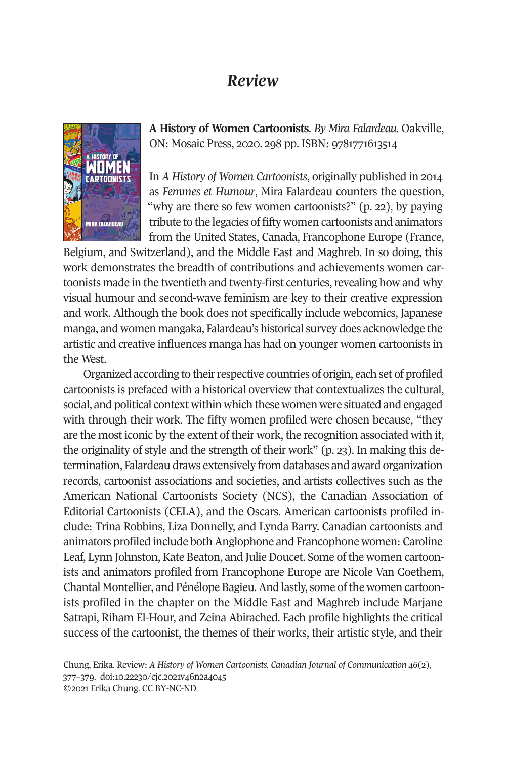## *Review*



**A History of Women Cartoonists**. *By Mira Falardeau*. Oakville, ON: Mosaic Press, 2020. 298 pp. ISBN: 9781771613514

In *A History of Women Cartoonists*, originally published in 2014 as *Femmes et Humour*, Mira Falardeau counters the question, "why are there so few women cartoonists?" (p. 22), by paying tribute to the legacies of fifty women cartoonists and animators from the United States, Canada, Francophone Europe (France,

Belgium, and Switzerland), and the Middle East and Maghreb. In so doing, this work demonstrates the breadth of contributions and achievements women cartoonists made in the twentieth and twenty-first centuries, revealing how and why visual humour and second-wave feminism are key to their creative expression and work. Although the book does not specifically include webcomics, Japanese manga, and women mangaka, Falardeau's historical survey does acknowledge the artistic and creative influences manga has had on younger women cartoonists in the West.

Organized according to their respective countries of origin, each set of profiled cartoonists is prefaced with a historical overview that contextualizes the cultural, social, and political context within which these women were situated and engaged with through their work. The fifty women profiled were chosen because, "they are the most iconic by the extent of their work, the recognition associated with it, the originality of style and the strength of their work" (p. 23). In making this determination, Falardeau draws extensively from databases and award organization records, cartoonist associations and societies, and artists collectives such as the American National Cartoonists Society ([NCS\), the Canadian Associa](http://www.cjc-online.ca)tion of Editorial C[artoonists \(CELA\), and](http://doi.org/10.22230/cjc.2021v46n2a4045) the Oscars. American cartoonists profiled include: Trina Robbins, Liza Donnelly, and Lynda Barry. Canadian cartoonists and animators profiled include both Anglophone and Francophone women: Caroline Leaf, Lynn Johnston, Kate Beaton, and Julie Doucet. Some of the women cartoonists and animators profiled from Francophone Europe are Nicole Van Goethem, Chantal Montellier, and Pénélope Bagieu. And lastly, some of the women cartoonists profiled in the chapter on the Middle East and Maghreb include Marjane Satrapi, Riham El-Hour, and Zeina Abirached. Each profile highlights the critical success of the cartoonist, the themes of their works, their artistic style, and their

Chung, Erika. Review: *A History of Women Cartoonists. Canadian Journal of Communication 46*(2), 377–379. doi:10.22230/cjc.2021v46n2a4045 ©2021 Erika Chung. CC BY-NC-ND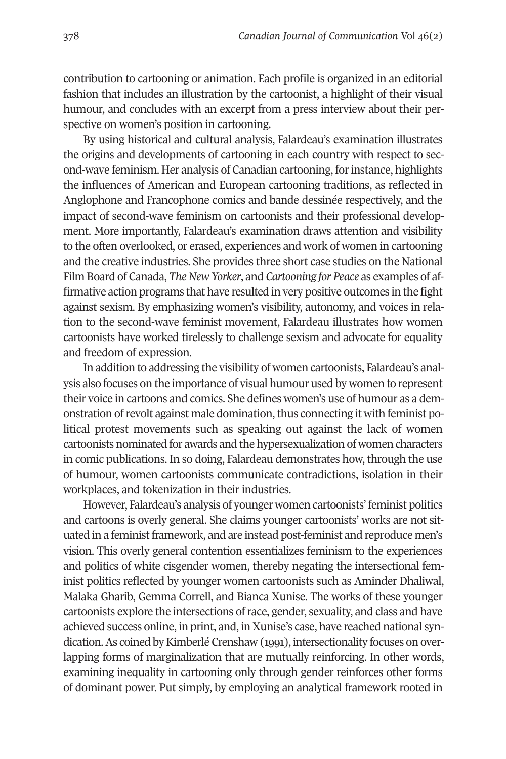378 *Canadian Journal of Communication* Vol 46(2)

contribution to cartooning or animation. Each profile is organized in an editorial fashion that includes an illustration by the cartoonist, a highlight of their visual humour, and concludes with an excerpt from a press interview about their perspective on women's position in cartooning.

By using historical and cultural analysis, Falardeau's examination illustrates the origins and developments of cartooning in each country with respect to second-wave feminism. Her analysis of Canadian cartooning, for instance, highlights the influences of American and European cartooning traditions, as reflected in Anglophone and Francophone comics and bande dessinée respectively, and the impact of second-wave feminism on cartoonists and their professional development. More importantly, Falardeau's examination draws attention and visibility to the often overlooked, or erased, experiences and work of women in cartooning and the creative industries. She provides three short case studies on the National Film Board of Canada, *The New Yorker*, and *Cartooning for Peace* as examples of affirmative action programs that have resulted in very positive outcomes in the fight against sexism. By emphasizing women's visibility, autonomy, and voices in relation to the second-wave feminist movement, Falardeau illustrates how women cartoonists have worked tirelessly to challenge sexism and advocate for equality and freedom of expression.

In addition to addressing the visibility of women cartoonists, Falardeau's analysis also focuses on the importance of visual humour used by women to represent their voice in cartoons and comics. She defines women's use of humour as a demonstration of revolt against male domination, thus connecting it with feminist political protest movements such as speaking out against the lack of women cartoonists nominated for awards and the hypersexualization of women characters in comic publications. In so doing, Falardeau demonstrates how, through the use of humour, women cartoonists communicate contradictions, isolation in their workplaces, and tokenization in their industries.

However, Falardeau's analysis of younger women cartoonists' feminist politics and cartoons is overly general. She claims younger cartoonists' works are not situated in a feminist framework, and are instead post-feminist and reproduce men's vision. This overly general contention essentializes feminism to the experiences and politics of white cisgender women, thereby negating the intersectional feminist politics reflected by younger women cartoonists such as Aminder Dhaliwal, Malaka Gharib, Gemma Correll, and Bianca Xunise. The works of these younger cartoonists explore the intersections of race, gender, sexuality, and class and have achieved success online, in print, and, in Xunise's case, have reached national syndication. As coined by Kimberlé Crenshaw (1991), intersectionality focuses on overlapping forms of marginalization that are mutually reinforcing. In other words, examining inequality in cartooning only through gender reinforces other forms of dominant power. Put simply, by employing an analytical framework rooted in